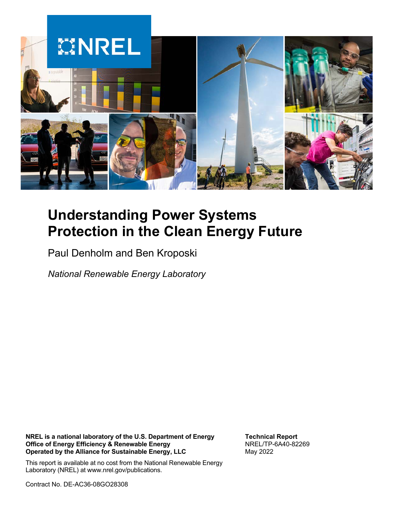

# **Understanding Power Systems Protection in the Clean Energy Future**

Paul Denholm and Ben Kroposki

*National Renewable Energy Laboratory*

**NREL is a national laboratory of the U.S. Department of Energy Office of Energy Efficiency & Renewable Energy Operated by the Alliance for Sustainable Energy, LLC**

**Technical Report** NREL/TP-6A40-82269 May 2022

This report is available at no cost from the National Renewable Energy Laboratory (NREL) at www.nrel.gov/publications.

Contract No. DE-AC36-08GO28308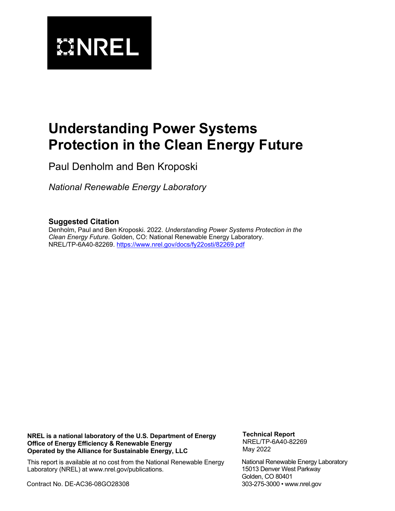

# **Understanding Power Systems Protection in the Clean Energy Future**

Paul Denholm and Ben Kroposki

*National Renewable Energy Laboratory*

#### **Suggested Citation**

Denholm, Paul and Ben Kroposki. 2022. *Understanding Power Systems Protection in the Clean Energy Future*. Golden, CO: National Renewable Energy Laboratory. NREL/TP-6A40-82269.<https://www.nrel.gov/docs/fy22osti/82269.pdf>

**NREL is a national laboratory of the U.S. Department of Energy Office of Energy Efficiency & Renewable Energy Operated by the Alliance for Sustainable Energy, LLC**

**Technical Report** NREL/TP-6A40-82269 May 2022

This report is available at no cost from the National Renewable Energy Laboratory (NREL) at www.nrel.gov/publications.

Contract No. DE-AC36-08GO28308

National Renewable Energy Laboratory 15013 Denver West Parkway Golden, CO 80401 303-275-3000 • www.nrel.gov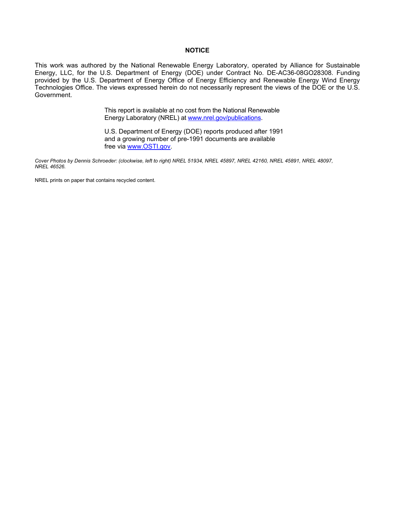#### **NOTICE**

This work was authored by the National Renewable Energy Laboratory, operated by Alliance for Sustainable Energy, LLC, for the U.S. Department of Energy (DOE) under Contract No. DE-AC36-08GO28308. Funding provided by the U.S. Department of Energy Office of Energy Efficiency and Renewable Energy Wind Energy Technologies Office. The views expressed herein do not necessarily represent the views of the DOE or the U.S. Government.

> This report is available at no cost from the National Renewable Energy Laboratory (NREL) at [www.nrel.gov/publications.](http://www.nrel.gov/publications)

U.S. Department of Energy (DOE) reports produced after 1991 and a growing number of pre-1991 documents are available free via [www.OSTI.gov.](http://www.osti.gov/) 

*Cover Photos by Dennis Schroeder: (clockwise, left to right) NREL 51934, NREL 45897, NREL 42160, NREL 45891, NREL 48097, NREL 46526.*

NREL prints on paper that contains recycled content.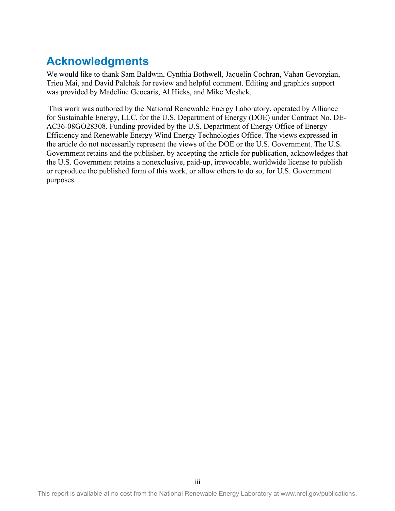## **Acknowledgments**

We would like to thank Sam Baldwin, Cynthia Bothwell, Jaquelin Cochran, Vahan Gevorgian, Trieu Mai, and David Palchak for review and helpful comment. Editing and graphics support was provided by Madeline Geocaris, Al Hicks, and Mike Meshek.

 This work was authored by the National Renewable Energy Laboratory, operated by Alliance for Sustainable Energy, LLC, for the U.S. Department of Energy (DOE) under Contract No. DE-AC36-08GO28308. Funding provided by the U.S. Department of Energy Office of Energy Efficiency and Renewable Energy Wind Energy Technologies Office. The views expressed in the article do not necessarily represent the views of the DOE or the U.S. Government. The U.S. Government retains and the publisher, by accepting the article for publication, acknowledges that the U.S. Government retains a nonexclusive, paid-up, irrevocable, worldwide license to publish or reproduce the published form of this work, or allow others to do so, for U.S. Government purposes.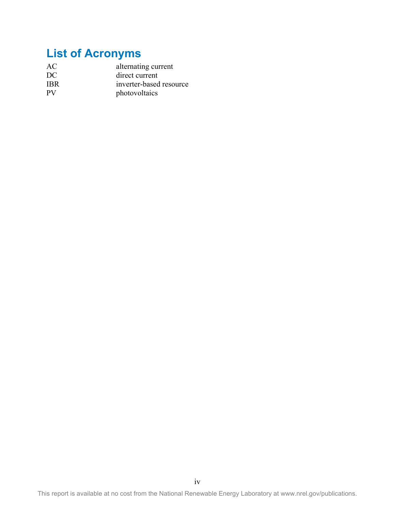# **List of Acronyms**

| AC         | alternating current     |  |
|------------|-------------------------|--|
| DC         | direct current          |  |
| <b>IBR</b> | inverter-based resource |  |
| <b>PV</b>  | photovoltaics           |  |

This report is available at no cost from the National Renewable Energy Laboratory at www.nrel.gov/publications.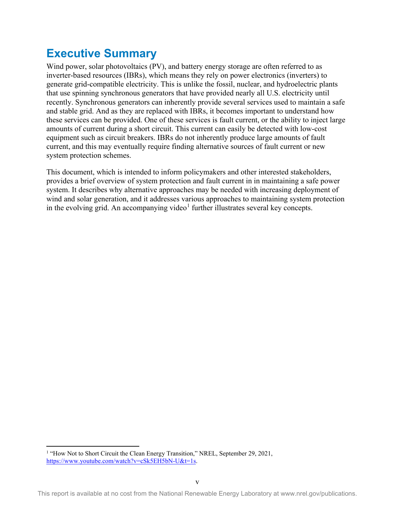## **Executive Summary**

Wind power, solar photovoltaics (PV), and battery energy storage are often referred to as inverter-based resources (IBRs), which means they rely on power electronics (inverters) to generate grid-compatible electricity. This is unlike the fossil, nuclear, and hydroelectric plants that use spinning synchronous generators that have provided nearly all U.S. electricity until recently. Synchronous generators can inherently provide several services used to maintain a safe and stable grid. And as they are replaced with IBRs, it becomes important to understand how these services can be provided. One of these services is fault current, or the ability to inject large amounts of current during a short circuit. This current can easily be detected with low-cost equipment such as circuit breakers. IBRs do not inherently produce large amounts of fault current, and this may eventually require finding alternative sources of fault current or new system protection schemes.

This document, which is intended to inform policymakers and other interested stakeholders, provides a brief overview of system protection and fault current in in maintaining a safe power system. It describes why alternative approaches may be needed with increasing deployment of wind and solar generation, and it addresses various approaches to maintaining system protection in the evolving grid. An accompanying video<sup>[1](#page-5-0)</sup> further illustrates several key concepts.

<span id="page-5-0"></span><sup>&</sup>lt;sup>1</sup> "How Not to Short Circuit the Clean Energy Transition," NREL, September 29, 2021, [https://www.youtube.com/watch?v=cSk5EH5bN-U&t=1s.](https://www.youtube.com/watch?v=cSk5EH5bN-U&t=1s)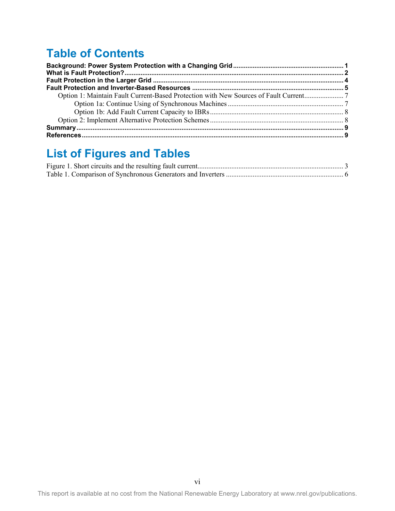# **Table of Contents**

# **List of Figures and Tables**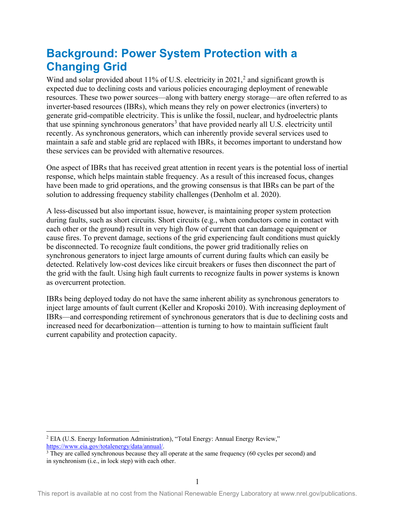### <span id="page-7-0"></span>**Background: Power System Protection with a Changing Grid**

Wind and solar provided about 11% of U.S. electricity in  $2021$  $2021$ , and significant growth is expected due to declining costs and various policies encouraging deployment of renewable resources. These two power sources—along with battery energy storage—are often referred to as inverter-based resources (IBRs), which means they rely on power electronics (inverters) to generate grid-compatible electricity. This is unlike the fossil, nuclear, and hydroelectric plants that use spinning synchronous generators<sup>[3](#page-7-2)</sup> that have provided nearly all U.S. electricity until recently. As synchronous generators, which can inherently provide several services used to maintain a safe and stable grid are replaced with IBRs, it becomes important to understand how these services can be provided with alternative resources.

One aspect of IBRs that has received great attention in recent years is the potential loss of inertial response, which helps maintain stable frequency. As a result of this increased focus, changes have been made to grid operations, and the growing consensus is that IBRs can be part of the solution to addressing frequency stability challenges (Denholm et al. 2020).

A less-discussed but also important issue, however, is maintaining proper system protection during faults, such as short circuits. Short circuits (e.g., when conductors come in contact with each other or the ground) result in very high flow of current that can damage equipment or cause fires. To prevent damage, sections of the grid experiencing fault conditions must quickly be disconnected. To recognize fault conditions, the power grid traditionally relies on synchronous generators to inject large amounts of current during faults which can easily be detected. Relatively low-cost devices like circuit breakers or fuses then disconnect the part of the grid with the fault. Using high fault currents to recognize faults in power systems is known as overcurrent protection.

IBRs being deployed today do not have the same inherent ability as synchronous generators to inject large amounts of fault current (Keller and Kroposki 2010). With increasing deployment of IBRs—and corresponding retirement of synchronous generators that is due to declining costs and increased need for decarbonization—attention is turning to how to maintain sufficient fault current capability and protection capacity.

<span id="page-7-1"></span><sup>&</sup>lt;sup>2</sup> EIA (U.S. Energy Information Administration), "Total Energy: Annual Energy Review," https://www.eia.gov/totalenergy/data/annual/.

<span id="page-7-2"></span> $3$  They are called synchronous because they all operate at the same frequency (60 cycles per second) and in synchronism (i.e., in lock step) with each other.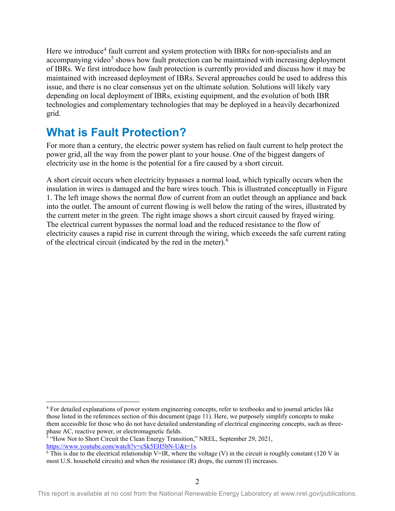Here we introduce<sup>[4](#page-8-1)</sup> fault current and system protection with IBRs for non-specialists and an accompanying video<sup>[5](#page-8-2)</sup> shows how fault protection can be maintained with increasing deployment of IBRs. We first introduce how fault protection is currently provided and discuss how it may be maintained with increased deployment of IBRs. Several approaches could be used to address this issue, and there is no clear consensus yet on the ultimate solution. Solutions will likely vary depending on local deployment of IBRs, existing equipment, and the evolution of both IBR technologies and complementary technologies that may be deployed in a heavily decarbonized grid.

### <span id="page-8-0"></span>**What is Fault Protection?**

For more than a century, the electric power system has relied on fault current to help protect the power grid, all the way from the power plant to your house. One of the biggest dangers of electricity use in the home is the potential for a fire caused by a short circuit.

A short circuit occurs when electricity bypasses a normal load, which typically occurs when the insulation in wires is damaged and the bare wires touch. This is illustrated conceptually in Figure 1. The left image shows the normal flow of current from an outlet through an appliance and back into the outlet. The amount of current flowing is well below the rating of the wires, illustrated by the current meter in the green. The right image shows a short circuit caused by frayed wiring. The electrical current bypasses the normal load and the reduced resistance to the flow of electricity causes a rapid rise in current through the wiring, which exceeds the safe current rating of the electrical circuit (indicated by the red in the meter).<sup>[6](#page-8-3)</sup>

<span id="page-8-1"></span><sup>4</sup> For detailed explanations of power system engineering concepts, refer to textbooks and to journal articles like those listed in the references section of this document (page [11\)](#page-15-1). Here, we purposely simplify concepts to make them accessible for those who do not have detailed understanding of electrical engineering concepts, such as threephase AC, reactive power, or electromagnetic fields.

<span id="page-8-2"></span><sup>&</sup>lt;sup>5</sup> "How Not to Short Circuit the Clean Energy Transition," NREL, September 29, 2021, https://www.youtube.com/watch?v=cSk5EH5bN-U&t=1s.

<span id="page-8-3"></span> $\overline{6}$  This is due to the electrical relationship V=IR, where the voltage (V) in the circuit is roughly constant (120 V in most U.S. household circuits) and when the resistance (R) drops, the current (I) increases.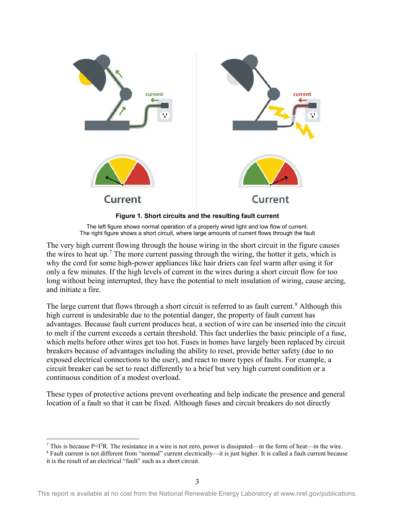

**Figure 1. Short circuits and the resulting fault current**

The left figure shows normal operation of a properly wired light and low flow of current. The right figure shows a short circuit, where large amounts of current flows through the fault

<span id="page-9-0"></span>The very high current flowing through the house wiring in the short circuit in the figure causes the wires to heat up.<sup>[7](#page-9-1)</sup> The more current passing through the wiring, the hotter it gets, which is why the cord for some high-power appliances like hair driers can feel warm after using it for only a few minutes. If the high levels of current in the wires during a short circuit flow for too long without being interrupted, they have the potential to melt insulation of wiring, cause arcing, and initiate a fire.

The large current that flows through a short circuit is referred to as fault current.<sup>[8](#page-9-2)</sup> Although this high current is undesirable due to the potential danger, the property of fault current has advantages. Because fault current produces heat, a section of wire can be inserted into the circuit to melt if the current exceeds a certain threshold. This fact underlies the basic principle of a fuse, which melts before other wires get too hot. Fuses in homes have largely been replaced by circuit breakers because of advantages including the ability to reset, provide better safety (due to no exposed electrical connections to the user), and react to more types of faults. For example, a circuit breaker can be set to react differently to a brief but very high current condition or a continuous condition of a modest overload.

These types of protective actions prevent overheating and help indicate the presence and general location of a fault so that it can be fixed. Although fuses and circuit breakers do not directly

<span id="page-9-1"></span><sup>&</sup>lt;sup>7</sup> This is because P=I<sup>2</sup>R. The resistance in a wire is not zero, power is dissipated—in the form of heat—in the wire.

<span id="page-9-2"></span><sup>8</sup> Fault current is not different from "normal" current electrically—it is just higher. It is called a fault current because it is the result of an electrical "fault" such as a short circuit.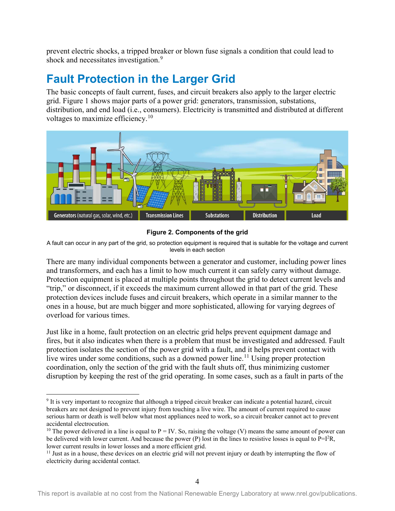prevent electric shocks, a tripped breaker or blown fuse signals a condition that could lead to shock and necessitates investigation.<sup>[9](#page-10-1)</sup>

### <span id="page-10-0"></span>**Fault Protection in the Larger Grid**

The basic concepts of fault current, fuses, and circuit breakers also apply to the larger electric grid. Figure 1 shows major parts of a power grid: generators, transmission, substations, distribution, and end load (i.e., consumers). Electricity is transmitted and distributed at different voltages to maximize efficiency.<sup>[10](#page-10-2)</sup>



#### **Figure 2. Components of the grid**

A fault can occur in any part of the grid, so protection equipment is required that is suitable for the voltage and current levels in each section

There are many individual components between a generator and customer, including power lines and transformers, and each has a limit to how much current it can safely carry without damage. Protection equipment is placed at multiple points throughout the grid to detect current levels and "trip," or disconnect, if it exceeds the maximum current allowed in that part of the grid. These protection devices include fuses and circuit breakers, which operate in a similar manner to the ones in a house, but are much bigger and more sophisticated, allowing for varying degrees of overload for various times.

Just like in a home, fault protection on an electric grid helps prevent equipment damage and fires, but it also indicates when there is a problem that must be investigated and addressed. Fault protection isolates the section of the power grid with a fault, and it helps prevent contact with live wires under some conditions, such as a downed power line.<sup>[11](#page-10-3)</sup> Using proper protection coordination, only the section of the grid with the fault shuts off, thus minimizing customer disruption by keeping the rest of the grid operating. In some cases, such as a fault in parts of the

<span id="page-10-1"></span><sup>&</sup>lt;sup>9</sup> It is very important to recognize that although a tripped circuit breaker can indicate a potential hazard, circuit breakers are not designed to prevent injury from touching a live wire. The amount of current required to cause serious harm or death is well below what most appliances need to work, so a circuit breaker cannot act to prevent

<span id="page-10-2"></span><sup>&</sup>lt;sup>10</sup> The power delivered in a line is equal to P = IV. So, raising the voltage (V) means the same amount of power can be delivered with lower current. And because the power  $(P)$  lost in the lines to resistive losses is equal to  $P=1^2R$ , lower current results in lower losses and a more efficient grid.

<span id="page-10-3"></span> $11$  Just as in a house, these devices on an electric grid will not prevent injury or death by interrupting the flow of electricity during accidental contact.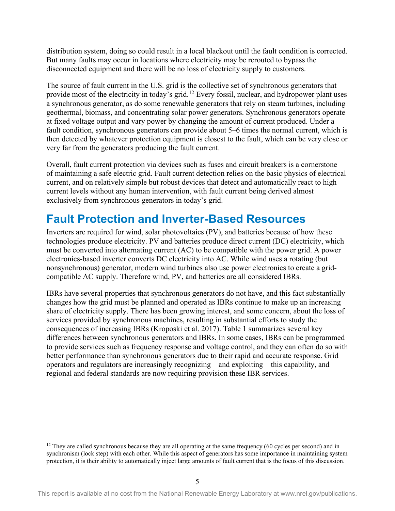distribution system, doing so could result in a local blackout until the fault condition is corrected. But many faults may occur in locations where electricity may be rerouted to bypass the disconnected equipment and there will be no loss of electricity supply to customers.

The source of fault current in the U.S. grid is the collective set of synchronous generators that provide most of the electricity in today's grid.<sup>[12](#page-11-1)</sup> Every fossil, nuclear, and hydropower plant uses a synchronous generator, as do some renewable generators that rely on steam turbines, including geothermal, biomass, and concentrating solar power generators. Synchronous generators operate at fixed voltage output and vary power by changing the amount of current produced. Under a fault condition, synchronous generators can provide about 5–6 times the normal current, which is then detected by whatever protection equipment is closest to the fault, which can be very close or very far from the generators producing the fault current.

Overall, fault current protection via devices such as fuses and circuit breakers is a cornerstone of maintaining a safe electric grid. Fault current detection relies on the basic physics of electrical current, and on relatively simple but robust devices that detect and automatically react to high current levels without any human intervention, with fault current being derived almost exclusively from synchronous generators in today's grid.

### <span id="page-11-0"></span>**Fault Protection and Inverter-Based Resources**

Inverters are required for wind, solar photovoltaics (PV), and batteries because of how these technologies produce electricity. PV and batteries produce direct current (DC) electricity, which must be converted into alternating current (AC) to be compatible with the power grid. A power electronics-based inverter converts DC electricity into AC. While wind uses a rotating (but nonsynchronous) generator, modern wind turbines also use power electronics to create a gridcompatible AC supply. Therefore wind, PV, and batteries are all considered IBRs.

IBRs have several properties that synchronous generators do not have, and this fact substantially changes how the grid must be planned and operated as IBRs continue to make up an increasing share of electricity supply. There has been growing interest, and some concern, about the loss of services provided by synchronous machines, resulting in substantial efforts to study the consequences of increasing IBRs (Kroposki et al. 2017). Table 1 summarizes several key differences between synchronous generators and IBRs. In some cases, IBRs can be programmed to provide services such as frequency response and voltage control, and they can often do so with better performance than synchronous generators due to their rapid and accurate response. Grid operators and regulators are increasingly recognizing—and exploiting—this capability, and regional and federal standards are now requiring provision these IBR services.

<span id="page-11-1"></span> $12$  They are called synchronous because they are all operating at the same frequency (60 cycles per second) and in synchronism (lock step) with each other. While this aspect of generators has some importance in maintaining system protection, it is their ability to automatically inject large amounts of fault current that is the focus of this discussion.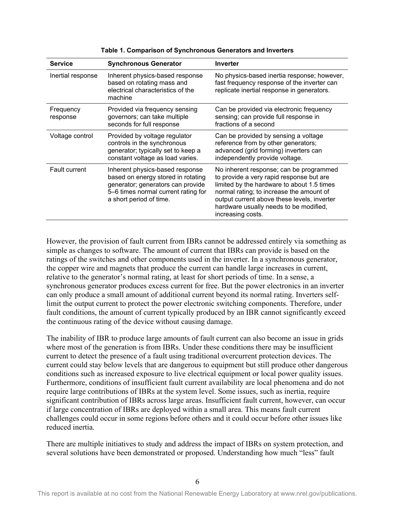<span id="page-12-0"></span>

| <b>Service</b>        | <b>Synchronous Generator</b>                                                                                                                                                 | <b>Inverter</b>                                                                                                                                                                                                                                                                             |
|-----------------------|------------------------------------------------------------------------------------------------------------------------------------------------------------------------------|---------------------------------------------------------------------------------------------------------------------------------------------------------------------------------------------------------------------------------------------------------------------------------------------|
| Inertial response     | Inherent physics-based response<br>based on rotating mass and<br>electrical characteristics of the<br>machine                                                                | No physics-based inertia response; however,<br>fast frequency response of the inverter can<br>replicate inertial response in generators.                                                                                                                                                    |
| Frequency<br>response | Provided via frequency sensing<br>governors; can take multiple<br>seconds for full response                                                                                  | Can be provided via electronic frequency<br>sensing; can provide full response in<br>fractions of a second                                                                                                                                                                                  |
| Voltage control       | Provided by voltage regulator<br>controls in the synchronous<br>generator; typically set to keep a<br>constant voltage as load varies.                                       | Can be provided by sensing a voltage<br>reference from by other generators;<br>advanced (grid forming) inverters can<br>independently provide voltage.                                                                                                                                      |
| <b>Fault current</b>  | Inherent physics-based response<br>based on energy stored in rotating<br>generator; generators can provide<br>5-6 times normal current rating for<br>a short period of time. | No inherent response; can be programmed<br>to provide a very rapid response but are<br>limited by the hardware to about 1.5 times<br>normal rating; to increase the amount of<br>output current above these levels, inverter<br>hardware usually needs to be modified,<br>increasing costs. |

**Table 1. Comparison of Synchronous Generators and Inverters** 

However, the provision of fault current from IBRs cannot be addressed entirely via something as simple as changes to software. The amount of current that IBRs can provide is based on the ratings of the switches and other components used in the inverter. In a synchronous generator, the copper wire and magnets that produce the current can handle large increases in current, relative to the generator's normal rating, at least for short periods of time. In a sense, a synchronous generator produces excess current for free. But the power electronics in an inverter can only produce a small amount of additional current beyond its normal rating. Inverters selflimit the output current to protect the power electronic switching components. Therefore, under fault conditions, the amount of current typically produced by an IBR cannot significantly exceed the continuous rating of the device without causing damage.

The inability of IBR to produce large amounts of fault current can also become an issue in grids where most of the generation is from IBRs. Under these conditions there may be insufficient current to detect the presence of a fault using traditional overcurrent protection devices. The current could stay below levels that are dangerous to equipment but still produce other dangerous conditions such as increased exposure to live electrical equipment or local power quality issues. Furthermore, conditions of insufficient fault current availability are local phenomena and do not require large contributions of IBRs at the system level. Some issues, such as inertia, require significant contribution of IBRs across large areas. Insufficient fault current, however, can occur if large concentration of IBRs are deployed within a small area. This means fault current challenges could occur in some regions before others and it could occur before other issues like reduced inertia.

There are multiple initiatives to study and address the impact of IBRs on system protection, and several solutions have been demonstrated or proposed. Understanding how much "less" fault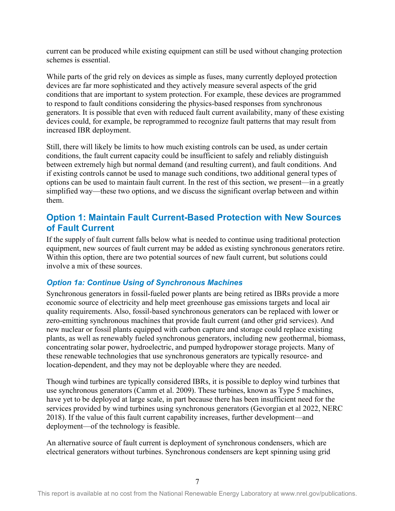current can be produced while existing equipment can still be used without changing protection schemes is essential.

While parts of the grid rely on devices as simple as fuses, many currently deployed protection devices are far more sophisticated and they actively measure several aspects of the grid conditions that are important to system protection. For example, these devices are programmed to respond to fault conditions considering the physics-based responses from synchronous generators. It is possible that even with reduced fault current availability, many of these existing devices could, for example, be reprogrammed to recognize fault patterns that may result from increased IBR deployment.

Still, there will likely be limits to how much existing controls can be used, as under certain conditions, the fault current capacity could be insufficient to safely and reliably distinguish between extremely high but normal demand (and resulting current), and fault conditions. And if existing controls cannot be used to manage such conditions, two additional general types of options can be used to maintain fault current. In the rest of this section, we present—in a greatly simplified way—these two options, and we discuss the significant overlap between and within them.

### <span id="page-13-0"></span>**Option 1: Maintain Fault Current-Based Protection with New Sources of Fault Current**

If the supply of fault current falls below what is needed to continue using traditional protection equipment, new sources of fault current may be added as existing synchronous generators retire. Within this option, there are two potential sources of new fault current, but solutions could involve a mix of these sources.

#### <span id="page-13-1"></span>*Option 1a: Continue Using of Synchronous Machines*

Synchronous generators in fossil-fueled power plants are being retired as IBRs provide a more economic source of electricity and help meet greenhouse gas emissions targets and local air quality requirements. Also, fossil-based synchronous generators can be replaced with lower or zero-emitting synchronous machines that provide fault current (and other grid services). And new nuclear or fossil plants equipped with carbon capture and storage could replace existing plants, as well as renewably fueled synchronous generators, including new geothermal, biomass, concentrating solar power, hydroelectric, and pumped hydropower storage projects. Many of these renewable technologies that use synchronous generators are typically resource- and location-dependent, and they may not be deployable where they are needed.

Though wind turbines are typically considered IBRs, it is possible to deploy wind turbines that use synchronous generators (Camm et al. 2009). These turbines, known as Type 5 machines, have yet to be deployed at large scale, in part because there has been insufficient need for the services provided by wind turbines using synchronous generators (Gevorgian et al 2022, NERC 2018). If the value of this fault current capability increases, further development—and deployment—of the technology is feasible.

An alternative source of fault current is deployment of synchronous condensers, which are electrical generators without turbines. Synchronous condensers are kept spinning using grid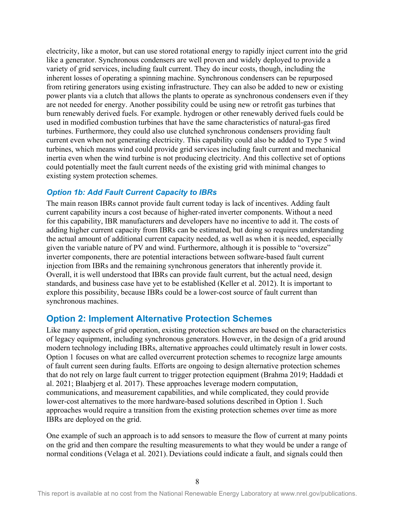electricity, like a motor, but can use stored rotational energy to rapidly inject current into the grid like a generator. Synchronous condensers are well proven and widely deployed to provide a variety of grid services, including fault current. They do incur costs, though, including the inherent losses of operating a spinning machine. Synchronous condensers can be repurposed from retiring generators using existing infrastructure. They can also be added to new or existing power plants via a clutch that allows the plants to operate as synchronous condensers even if they are not needed for energy. Another possibility could be using new or retrofit gas turbines that burn renewably derived fuels. For example. hydrogen or other renewably derived fuels could be used in modified combustion turbines that have the same characteristics of natural-gas fired turbines. Furthermore, they could also use clutched synchronous condensers providing fault current even when not generating electricity. This capability could also be added to Type 5 wind turbines, which means wind could provide grid services including fault current and mechanical inertia even when the wind turbine is not producing electricity. And this collective set of options could potentially meet the fault current needs of the existing grid with minimal changes to existing system protection schemes.

#### <span id="page-14-0"></span>*Option 1b: Add Fault Current Capacity to IBRs*

The main reason IBRs cannot provide fault current today is lack of incentives. Adding fault current capability incurs a cost because of higher-rated inverter components. Without a need for this capability, IBR manufacturers and developers have no incentive to add it. The costs of adding higher current capacity from IBRs can be estimated, but doing so requires understanding the actual amount of additional current capacity needed, as well as when it is needed, especially given the variable nature of PV and wind. Furthermore, although it is possible to "oversize" inverter components, there are potential interactions between software-based fault current injection from IBRs and the remaining synchronous generators that inherently provide it. Overall, it is well understood that IBRs can provide fault current, but the actual need, design standards, and business case have yet to be established (Keller et al. 2012). It is important to explore this possibility, because IBRs could be a lower-cost source of fault current than synchronous machines.

#### <span id="page-14-1"></span>**Option 2: Implement Alternative Protection Schemes**

Like many aspects of grid operation, existing protection schemes are based on the characteristics of legacy equipment, including synchronous generators. However, in the design of a grid around modern technology including IBRs, alternative approaches could ultimately result in lower costs. Option 1 focuses on what are called overcurrent protection schemes to recognize large amounts of fault current seen during faults. Efforts are ongoing to design alternative protection schemes that do not rely on large fault current to trigger protection equipment (Brahma 2019; Haddadi et al. 2021; Blaabjerg et al. 2017). These approaches leverage modern computation, communications, and measurement capabilities, and while complicated, they could provide lower-cost alternatives to the more hardware-based solutions described in Option 1. Such approaches would require a transition from the existing protection schemes over time as more IBRs are deployed on the grid.

One example of such an approach is to add sensors to measure the flow of current at many points on the grid and then compare the resulting measurements to what they would be under a range of normal conditions (Velaga et al. 2021). Deviations could indicate a fault, and signals could then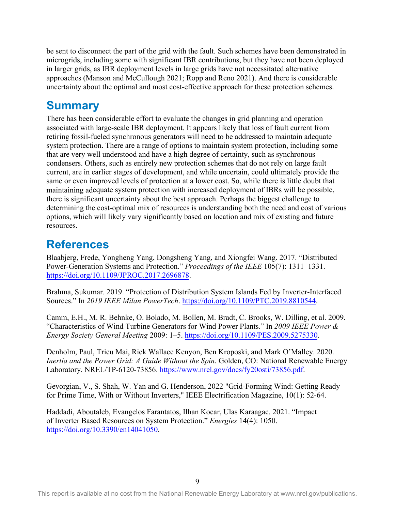be sent to disconnect the part of the grid with the fault. Such schemes have been demonstrated in microgrids, including some with significant IBR contributions, but they have not been deployed in larger grids, as IBR deployment levels in large grids have not necessitated alternative approaches (Manson and McCullough 2021; Ropp and Reno 2021). And there is considerable uncertainty about the optimal and most cost-effective approach for these protection schemes.

### <span id="page-15-0"></span>**Summary**

There has been considerable effort to evaluate the changes in grid planning and operation associated with large-scale IBR deployment. It appears likely that loss of fault current from retiring fossil-fueled synchronous generators will need to be addressed to maintain adequate system protection. There are a range of options to maintain system protection, including some that are very well understood and have a high degree of certainty, such as synchronous condensers. Others, such as entirely new protection schemes that do not rely on large fault current, are in earlier stages of development, and while uncertain, could ultimately provide the same or even improved levels of protection at a lower cost. So, while there is little doubt that maintaining adequate system protection with increased deployment of IBRs will be possible, there is significant uncertainty about the best approach. Perhaps the biggest challenge to determining the cost-optimal mix of resources is understanding both the need and cost of various options, which will likely vary significantly based on location and mix of existing and future resources.

### **References**

<span id="page-15-1"></span>Blaabjerg, Frede, Yongheng Yang, Dongsheng Yang, and Xiongfei Wang. 2017. "Distributed Power-Generation Systems and Protection." *Proceedings of the IEEE* 105(7): 1311–1331. https://doi.org/10.1109/JPROC.2017.2696878.

[Brahma, Sukumar. 2019. "Protection of Distrib](https://doi.org/10.1109/JPROC.2017.2696878)ution System Islands Fed by Inverter-Interfaced Sources." In *2019 IEEE Milan PowerTech*. https://doi.org/10.1109/PTC.2019.8810544.

Camm, E.H., M. R. Behnke, O. Bolado, M[. Bollen, M. Bradt, C. Brooks, W. Dilling, et](https://doi.org/10.1109/PTC.2019.8810544) al. 2009. "Characteristics of Wind Turbine Generators for Wind Power Plants." In *2009 IEEE Power & Energy Society General Meeting* 2009: 1–5. https://doi.org/10.1109/PES.2009.5275330.

Denholm, Paul, Trieu Mai, Rick Wallace K[enyon, Ben Kroposki, and Mark O'Malley. 2](https://doi.org/10.1109/PES.2009.5275330)020. *Inertia and the Power Grid: A Guide Without the Spin*. Golden, CO: National Renewable Energy Laboratory. NREL/TP-6120-73856. https://www.nrel.gov/docs/fy20osti/73856.pdf.

Gevorgian, V., S. Shah, W. Yan an[d G. Henderson, 2022 "Grid-Forming Wind: Get](https://www.nrel.gov/docs/fy20osti/73856.pdf)ting Ready for Prime Time, With or Without Inverters," IEEE Electrification Magazine, 10(1): 52-64.

Haddadi, Aboutaleb, Evangelos Farantatos, Ilhan Kocar, Ulas Karaagac. 2021. "Impact of Inverter Based Resources on System Protection." *Energies* 14(4): 1050. https://doi.org/10.3390/en14041050.